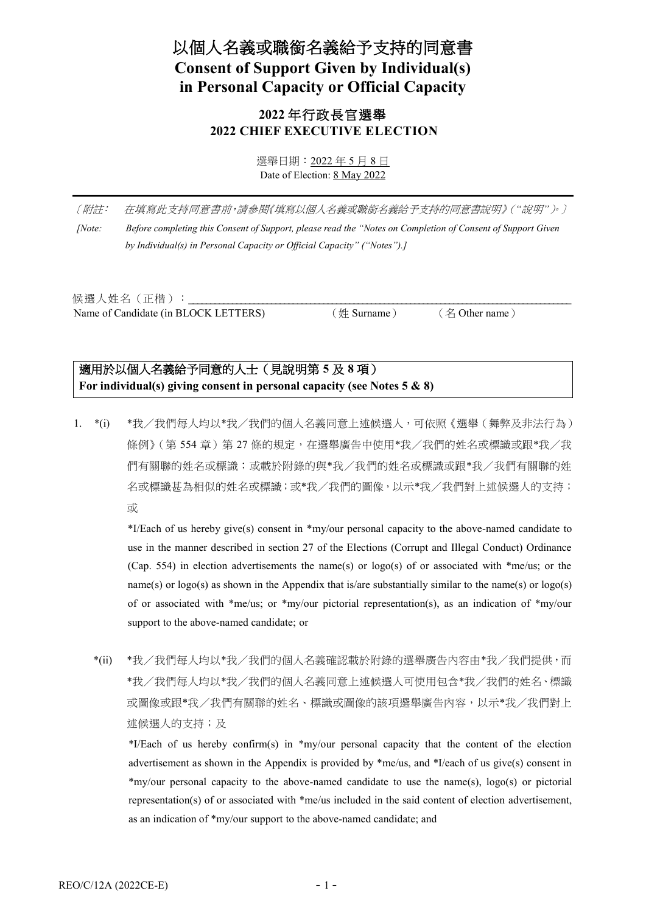# 以個人名義或職銜名義給予支持的同意書 **Consent of Support Given by Individual(s) in Personal Capacity or Official Capacity**

# **2022** 年行政長官選舉 **2022 CHIEF EXECUTIVE ELECTION**

選舉日期:2022 年 5 月 8 日 Date of Election: 8 May 2022

〔附註:在填寫此支持同意書前,請參閱《填寫以個人名義或職銜名義給予支持的同意書說明》(*"*說明*"*)。〕 *[Note: Before completing this Consent of Support, please read the "Notes on Completion of Consent of Support Given by Individual(s) in Personal Capacity or Official Capacity" ("Notes").]*

候選人姓名 (正楷): Name of Candidate (in BLOCK LETTERS) (姓 Surname) (名 Other name)

# 適用於以個人名義給予同意的人士(見說明第 **5** 及 **8** 項) **For individual(s) giving consent in personal capacity (see Notes 5 & 8)**

1. \*(i) \*我/我們每人均以\*我/我們的個人名義同意上述候選人,可依照《選舉(舞弊及非法行為) 條例》(第 554 章)第 27 條的規定,在選舉廣告中使用\*我/我們的姓名或標識或跟\*我/我 們有關聯的姓名或標識;或載於附錄的與\*我/我們的姓名或標識或跟\*我/我們有關聯的姓 名或標識甚為相似的姓名或標識;或\*我/我們的圖像,以示\*我/我們對上述候選人的支持; 或

> \*I/Each of us hereby give(s) consent in \*my/our personal capacity to the above-named candidate to use in the manner described in section 27 of the Elections (Corrupt and Illegal Conduct) Ordinance (Cap. 554) in election advertisements the name(s) or logo(s) of or associated with \*me/us; or the name(s) or  $logo(s)$  as shown in the Appendix that is/are substantially similar to the name(s) or  $logo(s)$ of or associated with \*me/us; or \*my/our pictorial representation(s), as an indication of \*my/our support to the above-named candidate; or

\*(ii) \*我/我們每人均以\*我/我們的個人名義確認載於附錄的選舉廣告內容由\*我/我們提供,而 \*我/我們每人均以\*我/我們的個人名義同意上述候選人可使用包含\*我/我們的姓名、標識 或圖像或跟\*我/我們有關聯的姓名、標識或圖像的該項選舉廣告內容,以示\*我/我們對上 述候選人的支持;及

\*I/Each of us hereby confirm(s) in \*my/our personal capacity that the content of the election advertisement as shown in the Appendix is provided by \*me/us, and \*I/each of us give(s) consent in \*my/our personal capacity to the above-named candidate to use the name(s), logo(s) or pictorial representation(s) of or associated with \*me/us included in the said content of election advertisement, as an indication of \*my/our support to the above-named candidate; and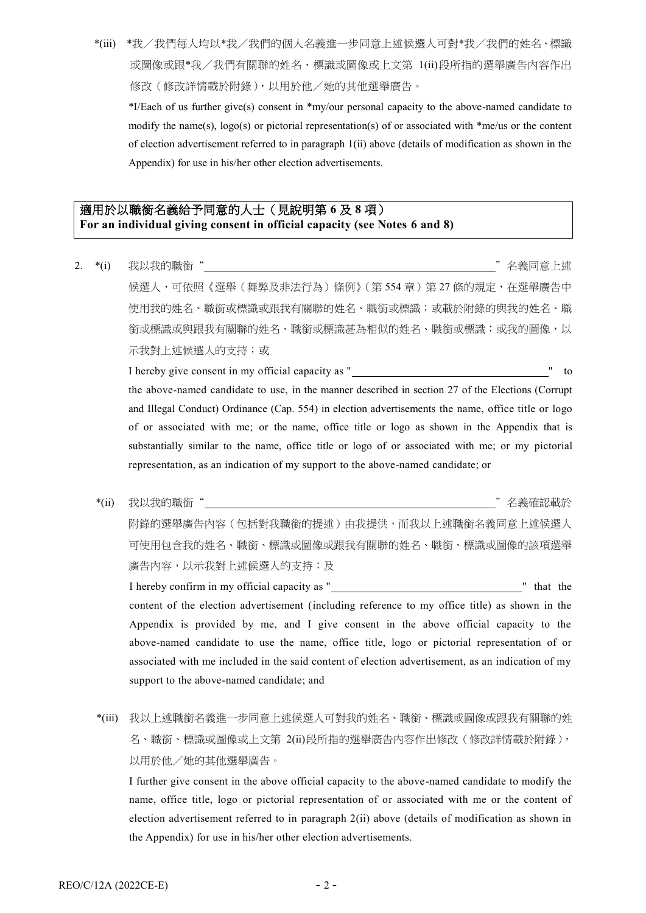\*(iii) \*我/我們每人均以\*我/我們的個人名義進一步同意上述候選人可對\*我/我們的姓名、標識 或圖像或跟\*我/我們有關聯的姓名、標識或圖像或上文第 1(ii)段所指的選舉廣告內容作出 修改(修改詳情載於附錄),以用於他/她的其他選舉廣告。

\*I/Each of us further give(s) consent in \*my/our personal capacity to the above-named candidate to modify the name(s), logo(s) or pictorial representation(s) of or associated with \*me/us or the content of election advertisement referred to in paragraph 1(ii) above (details of modification as shown in the Appendix) for use in his/her other election advertisements.

## 適用於以職銜名義給予同意的人士(見說明第 **6** 及 **8** 項) **For an individual giving consent in official capacity (see Notes 6 and 8)**

2. \*(i) 我以我的職銜" "名義同意上述 候選人,可依照《選舉(舞弊及非法行為)條例》(第554章)第27條的規定,在選舉廣告中 使用我的姓名、職銜或標識或跟我有關聯的姓名、職銜或標識;或載於附錄的與我的姓名、職 銜或標識或與跟我有關聯的姓名、職銜或標識甚為相似的姓名、職銜或標識;或我的圖像,以 示我對上述候選人的支持;或 I hereby give consent in my official capacity as " " to

the above-named candidate to use, in the manner described in section 27 of the Elections (Corrupt and Illegal Conduct) Ordinance (Cap. 554) in election advertisements the name, office title or logo of or associated with me; or the name, office title or logo as shown in the Appendix that is substantially similar to the name, office title or logo of or associated with me; or my pictorial representation, as an indication of my support to the above-named candidate; or

\*(ii) 我以我的職銜" "名義確認載於 附錄的選舉廣告內容(包括對我職銜的提述)由我提供,而我以上述職銜名義同意上述候選人 可使用包含我的姓名、職銜、標識或圖像或跟我有關聯的姓名、職銜、標識或圖像的該項選舉 廣告內容,以示我對上述候選人的支持;及

I hereby confirm in my official capacity as " content of the election advertisement (including reference to my office title) as shown in the Appendix is provided by me, and I give consent in the above official capacity to the above-named candidate to use the name, office title, logo or pictorial representation of or associated with me included in the said content of election advertisement, as an indication of my support to the above-named candidate; and

\*(iii) 我以上述職銜名義進一步同意上述候選人可對我的姓名、職銜、標識或圖像或跟我有關聯的姓 名、職銜、標識或圖像或上文第 2(ii)段所指的選舉廣告內容作出修改(修改詳情載於附錄), 以用於他/她的其他選舉廣告。

I further give consent in the above official capacity to the above-named candidate to modify the name, office title, logo or pictorial representation of or associated with me or the content of election advertisement referred to in paragraph 2(ii) above (details of modification as shown in the Appendix) for use in his/her other election advertisements.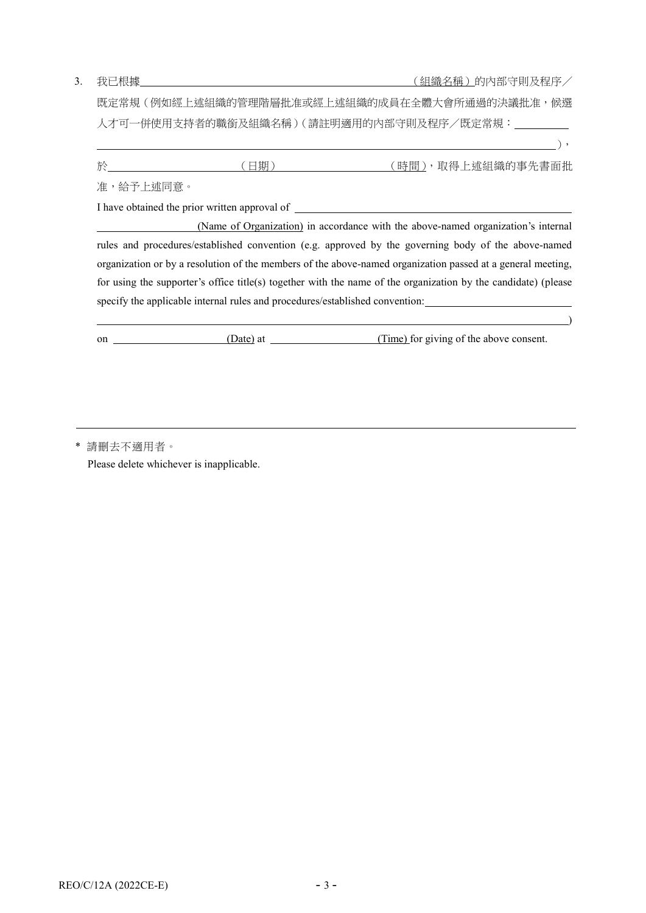3. 我已根據 2000年 - 2000年 - 2000年 - 2000年 - 2000年 - 2000年 - 2000年 - 2000年 - 2000年 - 2000年 - 2000年 - 2000年 - 2000年 - 2000年 - 2000年 - 2000年 - 2000年 - 2000年 - 2000年 - 2000年 - 2000年 - 2000年 - 2000年 - 2000年 - 2000年 - 2000年 - 2000年

),

既定常規(例如經上述組織的管理階層批准或經上述組織的成員在全體大會所通過的決議批准,候選 人才可一併使用支持者的職銜及組織名稱)(請註明適用的內部守則及程序/既定常規:

|           | 日期 | (時間),取得上述組織的事先書面批                                                                                              |
|-----------|----|----------------------------------------------------------------------------------------------------------------|
| 准,給予上述同意。 |    |                                                                                                                |
|           |    |                                                                                                                |
|           |    | (Name of Organization) in accordance with the above-named organization's internal                              |
|           |    | rules and procedures/established convention (e.g. approved by the governing body of the above-named            |
|           |    | organization or by a resolution of the members of the above-named organization passed at a general meeting,    |
|           |    | for using the supporter's office title(s) together with the name of the organization by the candidate) (please |

on (Date) at (Date) at (Time) for giving of the above consent.

) and the contract of the contract of the contract of the contract of the contract of  $\mathcal{L}$ 

specify the applicable internal rules and procedures/established convention:

\* 請刪去不適用者。

Please delete whichever is inapplicable.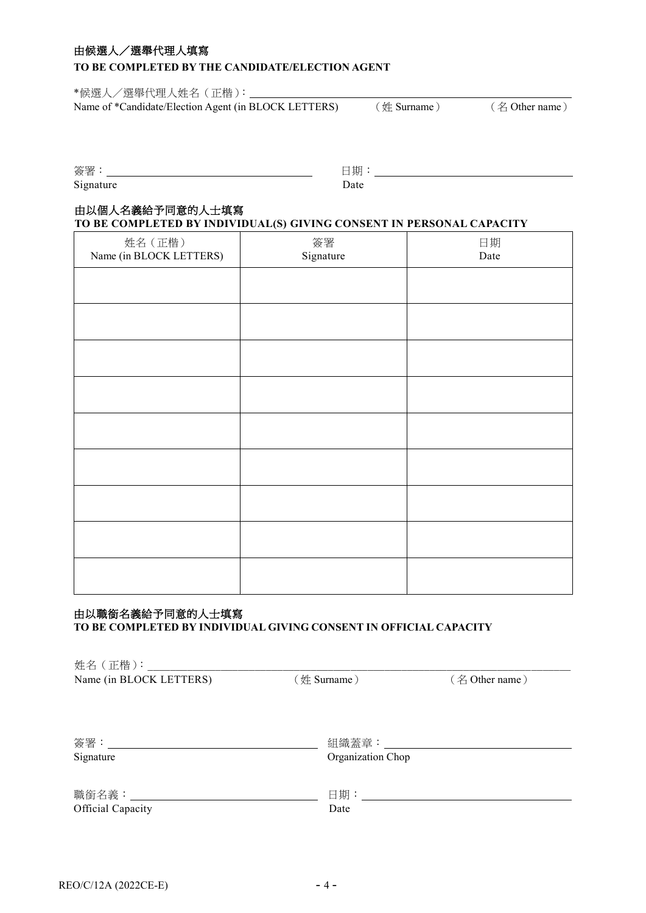## 由候選人/選舉代理人填寫

#### **TO BE COMPLETED BY THE CANDIDATE/ELECTION AGENT**

\*候選人/選舉代理人姓名(正楷): Name of \*Candidate/Election Agent (in BLOCK LETTERS) (姓 Surname) (名 Other name)

| 簽署        | 廿口<br>刔 |
|-----------|---------|
| Signature |         |

# 由以個人名義給予同意的人士填寫

**TO BE COMPLETED BY INDIVIDUAL(S) GIVING CONSENT IN PERSONAL CAPACITY**

| 姓名 (正楷)<br>Name (in BLOCK LETTERS) | 簽署<br>Signature | 日期<br>Date |
|------------------------------------|-----------------|------------|
|                                    |                 |            |
|                                    |                 |            |
|                                    |                 |            |
|                                    |                 |            |
|                                    |                 |            |
|                                    |                 |            |
|                                    |                 |            |
|                                    |                 |            |
|                                    |                 |            |

#### 由以職銜名義給予同意的人士填寫

#### **TO BE COMPLETED BY INDIVIDUAL GIVING CONSENT IN OFFICIAL CAPACITY**

| 姓名 (正楷): ______            |                   |                |
|----------------------------|-------------------|----------------|
| Name (in BLOCK LETTERS)    | $(\n#$ Surname)   | (名 Other name) |
| 簽署:____                    | 組織蓋章:             |                |
| Signature                  | Organization Chop |                |
| 職銜名義:_____________________ | 日期:___________    |                |
| Official Capacity          | Date              |                |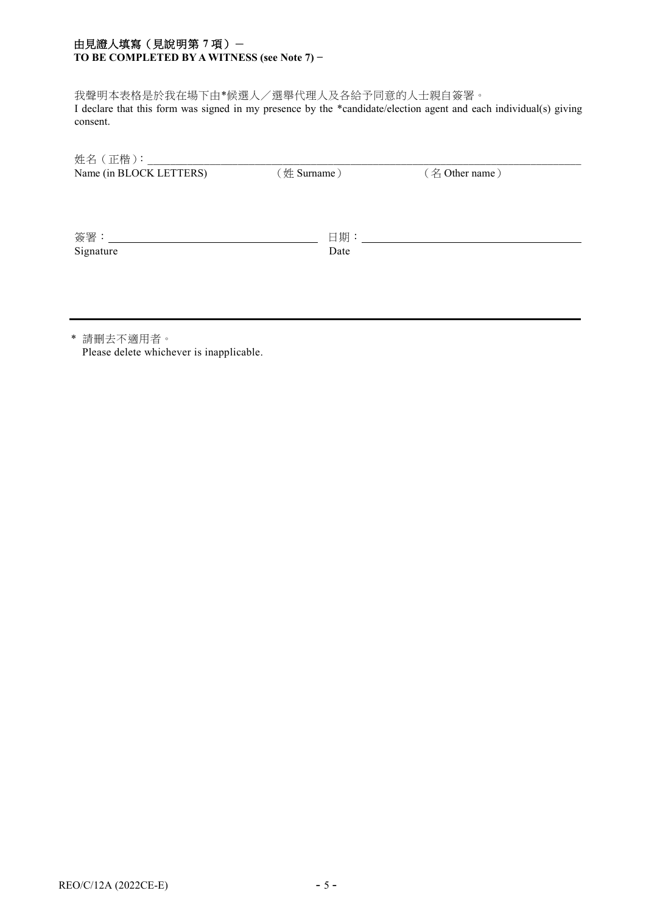### 由見證人填寫(見說明第 **7** 項)- **TO BE COMPLETED BY A WITNESS (see Note 7) −**

我聲明本表格是於我在場下由\*候選人/選舉代理人及各給予同意的人士親自簽署。 I declare that this form was signed in my presence by the \*candidate/election agent and each individual(s) giving consent.

| Name (in BLOCK LETTERS) | (姓 Surname) | (名 Other name) |
|-------------------------|-------------|----------------|
| 簽署: _____               | 日期: _____   |                |
| Signature               | Date        |                |

\* 請刪去不適用者。 Please delete whichever is inapplicable.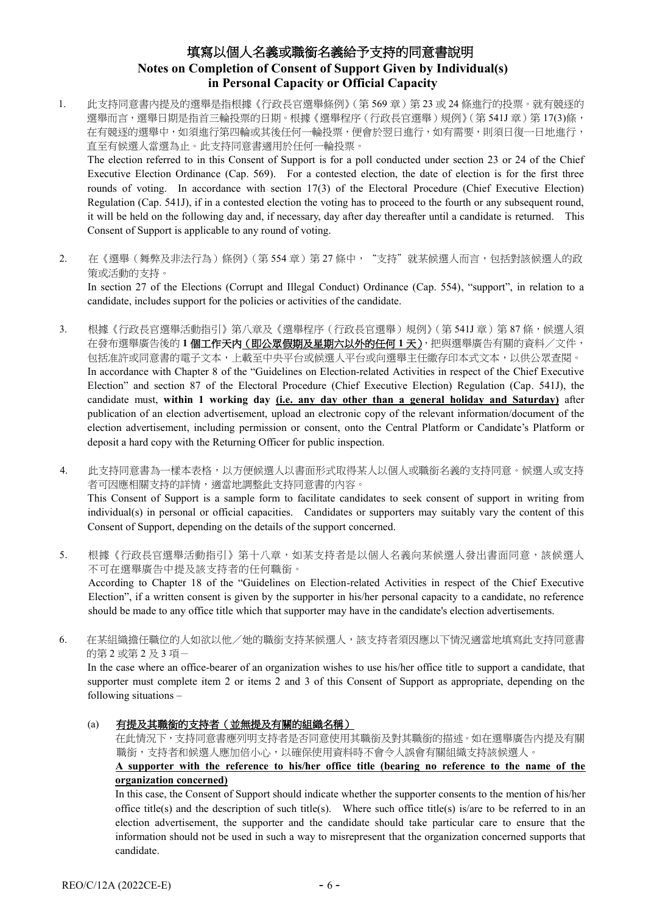# 填寫以個人名義或職銜名義給予支持的同意書說明 **Notes on Completion of Consent of Support Given by Individual(s) in Personal Capacity or Official Capacity**

1. 此支持同意書內提及的選舉是指根據《行政長官選舉條例》(第 569 章)第 23 或 24 條進行的投票。就有競逐的 選舉而言,選舉日期是指首三輪投票的日期。根據《選舉程序(行政長官選舉)規例》(第541J章)第 17(3)條, 在有競逐的選舉中,如須進行第四輪或其後任何一輪投票,便會於翌日進行,如有需要,則須日復一日地進行, 直至有候選人當選為止。此支持同意書適用於任何一輪投票。

The election referred to in this Consent of Support is for a poll conducted under section 23 or 24 of the Chief Executive Election Ordinance (Cap. 569). For a contested election, the date of election is for the first three rounds of voting. In accordance with section 17(3) of the Electoral Procedure (Chief Executive Election) Regulation (Cap. 541J), if in a contested election the voting has to proceed to the fourth or any subsequent round, it will be held on the following day and, if necessary, day after day thereafter until a candidate is returned. This Consent of Support is applicable to any round of voting.

2. 在《選舉(舞弊及非法行為)條例》(第554章)第 27條中, "支持"就某候選人而言,包括對該候選人的政 策或活動的支持。

In section 27 of the Elections (Corrupt and Illegal Conduct) Ordinance (Cap. 554), "support", in relation to a candidate, includes support for the policies or activities of the candidate.

- 3. 根據《行政長官選舉活動指引》第八章及《選舉程序(行政長官選舉)規例》(第 541J 章)第 87 條,候選人須 在發布選舉廣告後的 **1** 個工作天內(即公眾假期及星期六以外的任何 **1** 天),把與選舉廣告有關的資料/文件, 包括准許或同意書的電子文本,上載至中央平台或候選人平台或向選舉主任繳存印本式文本,以供公眾查閱。 In accordance with Chapter 8 of the "Guidelines on Election-related Activities in respect of the Chief Executive Election" and section 87 of the Electoral Procedure (Chief Executive Election) Regulation (Cap. 541J), the candidate must, **within 1 working day (i.e. any day other than a general holiday and Saturday)** after publication of an election advertisement, upload an electronic copy of the relevant information/document of the election advertisement, including permission or consent, onto the Central Platform or Candidate's Platform or deposit a hard copy with the Returning Officer for public inspection.
- 4. 此支持同意書為一樣本表格,以方便候選人以書面形式取得某人以個人或職銜名義的支持同意。候選人或支持 者可因應相關支持的詳情,適當地調整此支持同意書的內容。 This Consent of Support is a sample form to facilitate candidates to seek consent of support in writing from individual(s) in personal or official capacities. Candidates or supporters may suitably vary the content of this Consent of Support, depending on the details of the support concerned.
- 5. 根據《行政長官選舉活動指引》第十八章,如某支持者是以個人名義向某候選人發出書面同意,該候選人 不可在選舉廣告中提及該支持者的任何職銜。 According to Chapter 18 of the "Guidelines on Election-related Activities in respect of the Chief Executive Election", if a written consent is given by the supporter in his/her personal capacity to a candidate, no reference should be made to any office title which that supporter may have in the candidate's election advertisements.
- 6. 在某組織擔任職位的人如欲以他/她的職銜支持某候選人,該支持者須因應以下情況適當地填寫此支持同意書 的第2或第2及3項-

In the case where an office-bearer of an organization wishes to use his/her office title to support a candidate, that supporter must complete item 2 or items 2 and 3 of this Consent of Support as appropriate, depending on the following situations –

(a) 有提及其職銜的支持者(並無提及有關的組織名稱)

在此情況下,支持同意書應列明支持者是否同意使用其職銜及對其職銜的描述。如在選舉廣告內提及有關 職銜,支持者和候選人應加倍小心,以確保使用資料時不會令人誤會有關組織支持該候選人。

**A supporter with the reference to his/her office title (bearing no reference to the name of the organization concerned)**

In this case, the Consent of Support should indicate whether the supporter consents to the mention of his/her office title(s) and the description of such title(s). Where such office title(s) is/are to be referred to in an election advertisement, the supporter and the candidate should take particular care to ensure that the information should not be used in such a way to misrepresent that the organization concerned supports that candidate.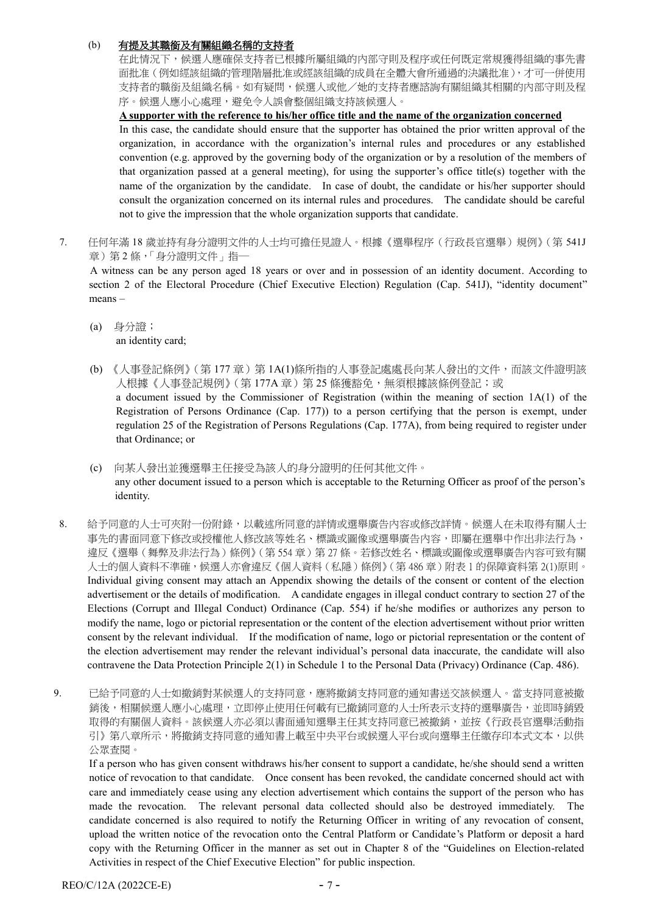#### (b)有提及其職銜及有關組織名稱的支持者

在此情況下,候選人應確保支持者已根據所屬組織的內部守則及程序或任何既定常規獲得組織的事先書 面批准(例如經該組織的管理階層批准或經該組織的成員在全體大會所通過的決議批准),才可一併使用 支持者的職銜及組織名稱。如有疑問,候選人或他/她的支持者應諮詢有關組織其相關的內部守則及程 序。候選人應小心處理,避免令人誤會整個組織支持該候選人。

**A supporter with the reference to his/her office title and the name of the organization concerned**

In this case, the candidate should ensure that the supporter has obtained the prior written approval of the organization, in accordance with the organization's internal rules and procedures or any established convention (e.g. approved by the governing body of the organization or by a resolution of the members of that organization passed at a general meeting), for using the supporter's office title(s) together with the name of the organization by the candidate. In case of doubt, the candidate or his/her supporter should consult the organization concerned on its internal rules and procedures. The candidate should be careful not to give the impression that the whole organization supports that candidate.

7. 任何年滿 18 歲並持有身分證明文件的人士均可擔任見證人。根據《選舉程序(行政長官選舉)規例》(第 541J 章) 第2條,「身分證明文件」指一

A witness can be any person aged 18 years or over and in possession of an identity document. According to section 2 of the Electoral Procedure (Chief Executive Election) Regulation (Cap. 541J), "identity document" means –

- (a) 身分證; an identity card;
- (b) 《人事登記條例》(第177章)第 1A(1)條所指的人事登記處處長向某人發出的文件,而該文件證明該 人根據《人事登記規例》(第 177A 章 )第 25 條獲豁免,無須根據該條例登記;或 a document issued by the Commissioner of Registration (within the meaning of section 1A(1) of the Registration of Persons Ordinance (Cap. 177)) to a person certifying that the person is exempt, under regulation 25 of the Registration of Persons Regulations (Cap. 177A), from being required to register under that Ordinance; or
- (c) 向某人發出並獲選舉主任接受為該人的身分證明的任何其他文件。 any other document issued to a person which is acceptable to the Returning Officer as proof of the person's identity.
- 8. 給予同意的人士可夾附一份附錄,以載述所同意的詳情或選舉廣告內容或修改詳情。候選人在未取得有關人士 事先的書面同意下修改或授權他人修改該等姓名、標識或圖像或選舉廣告內容,即屬在選舉中作出非法行為, 違反《選舉(舞弊及非法行為)條例》(第554章)第 27條。若修改姓名、標識或圖像或選舉廣告內容可致有關 人士的個人資料不準確,候選人亦會違反《個人資料(私隱)條例》(第 486 章)附表 1 的保障資料第 2(1)原則。 Individual giving consent may attach an Appendix showing the details of the consent or content of the election advertisement or the details of modification. A candidate engages in illegal conduct contrary to section 27 of the Elections (Corrupt and Illegal Conduct) Ordinance (Cap. 554) if he/she modifies or authorizes any person to modify the name, logo or pictorial representation or the content of the election advertisement without prior written consent by the relevant individual. If the modification of name, logo or pictorial representation or the content of the election advertisement may render the relevant individual's personal data inaccurate, the candidate will also contravene the Data Protection Principle 2(1) in Schedule 1 to the Personal Data (Privacy) Ordinance (Cap. 486).

9. 已給予同意的人士如撤銷對某候選人的支持同意,應將撤銷支持同意的通知書送交該候選人。當支持同意被撤 銷後,相關候選人應小心處理,立即停止使用任何載有已撤銷同意的人士所表示支持的選舉廣告,並即時銷毀 取得的有關個人資料。該候選人亦必須以書面通知選舉主任其支持同意已被撤銷,並按《行政長官選舉活動指 引》第八章所示,將撤銷支持同意的通知書上載至中央平台或候選人平台或向選舉主任繳存印本式文本,以供 公眾查閱。

If a person who has given consent withdraws his/her consent to support a candidate, he/she should send a written notice of revocation to that candidate. Once consent has been revoked, the candidate concerned should act with care and immediately cease using any election advertisement which contains the support of the person who has made the revocation. The relevant personal data collected should also be destroyed immediately. The candidate concerned is also required to notify the Returning Officer in writing of any revocation of consent, upload the written notice of the revocation onto the Central Platform or Candidate's Platform or deposit a hard copy with the Returning Officer in the manner as set out in Chapter 8 of the "Guidelines on Election-related Activities in respect of the Chief Executive Election" for public inspection.